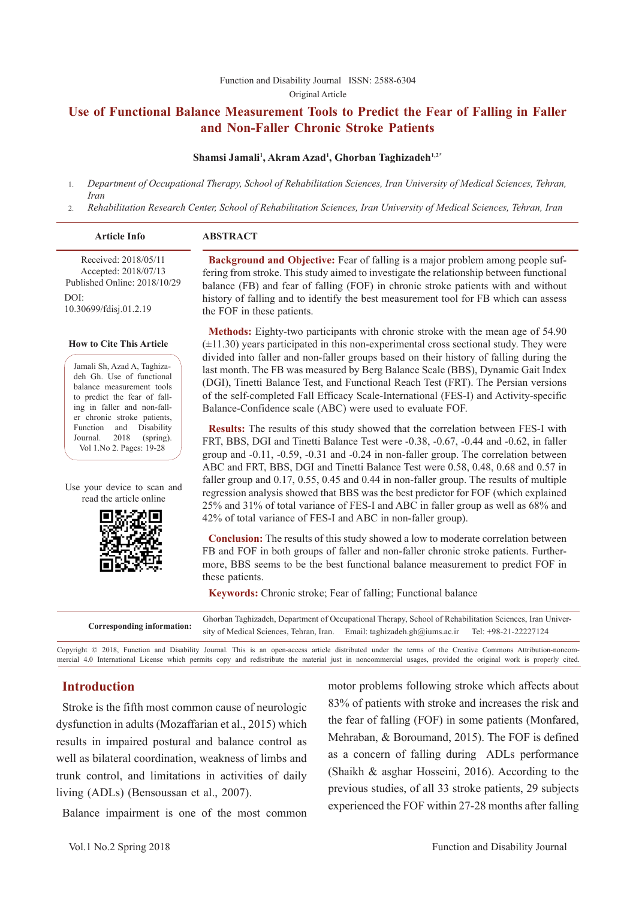#### [Function and Disability Journal ISSN: 2588-6304](http://fdj.iums.ac.ir/index.php?&slct_pg_id=10&sid=1&slc_lang=en)  Original Article

## **Use of Functional Balance Measurement Tools to Predict the Fear of Falling in Faller and Non-Faller Chronic Stroke Patients**

#### **Shamsi Jamali1 , Akram Azad1 , Ghorban Taghizadeh1,2\***

- 1. *Department of Occupational Therapy, School of Rehabilitation Sciences, Iran University of Medical Sciences, Tehran, Iran*
- 2. *Rehabilitation Research Center, School of Rehabilitation Sciences, Iran University of Medical Sciences, Tehran, Iran*

|  | <b>Article Info</b> |  | <b>ABSTRACT</b> |  |
|--|---------------------|--|-----------------|--|
|--|---------------------|--|-----------------|--|

 Received: 2018/05/11 Accepted: 2018/07/13 Published Online: 2018/10/29  $DOI<sup>1</sup>$ 10.30699/fdisj.01.2.19

#### **How to Cite This Article**

Jamali Sh, Azad A, Taghizadeh Gh. Use of functional balance measurement tools to predict the fear of falling in faller and non-faller chronic stroke patients, Function and Disability Journal. 2018 (spring). Vol 1.No 2. Pages: 19-28

Use your device to scan and read the article online



**Background and Objective:** Fear of falling is a major problem among people suffering from stroke. This study aimed to investigate the relationship between functional balance (FB) and fear of falling (FOF) in chronic stroke patients with and without history of falling and to identify the best measurement tool for FB which can assess the FOF in these patients.

**Methods:** Eighty-two participants with chronic stroke with the mean age of 54.90  $(\pm 11.30)$  years participated in this non-experimental cross sectional study. They were divided into faller and non-faller groups based on their history of falling during the last month. The FB was measured by Berg Balance Scale (BBS), Dynamic Gait Index (DGI), Tinetti Balance Test, and Functional Reach Test (FRT). The Persian versions of the self-completed Fall Efficacy Scale-International (FES-I) and Activity-specific Balance-Confidence scale (ABC) were used to evaluate FOF.

**Results:** The results of this study showed that the correlation between FES-I with FRT, BBS, DGI and Tinetti Balance Test were -0.38, -0.67, -0.44 and -0.62, in faller group and -0.11, -0.59, -0.31 and -0.24 in non-faller group. The correlation between ABC and FRT, BBS, DGI and Tinetti Balance Test were 0.58, 0.48, 0.68 and 0.57 in faller group and 0.17, 0.55, 0.45 and 0.44 in non-faller group. The results of multiple regression analysis showed that BBS was the best predictor for FOF (which explained 25% and 31% of total variance of FES-I and ABC in faller group as well as 68% and 42% of total variance of FES-I and ABC in non-faller group).

**Conclusion:** The results of this study showed a low to moderate correlation between FB and FOF in both groups of faller and non-faller chronic stroke patients. Furthermore, BBS seems to be the best functional balance measurement to predict FOF in these patients.

**Keywords:** Chronic stroke; Fear of falling; Functional balance

Corresponding information: Ghorban Taghizadeh, Department of Occupational Therapy, School of Rehabilitation Sciences, Iran Univer-<br>
Geographysics Christian Lines, Tehran University of Medical Sciences, Tehran, Iran. Email: taghizadeh.gh@iums.ac.ir

Copyright © 2018, Function and Disability Journal. This is an open-access article distributed under the terms of the Creative Commons Attribution-noncommercial 4.0 International License which permits copy and redistribute the material just in noncommercial usages, provided the original work is properly cited.

## **Introduction**

Stroke is the fifth most common cause of neurologic dysfunction in adults (Mozaffarian et al., 2015) which results in impaired postural and balance control as well as bilateral coordination, weakness of limbs and trunk control, and limitations in activities of daily living (ADLs) (Bensoussan et al., 2007).

Balance impairment is one of the most common

motor problems following stroke which affects about 83% of patients with stroke and increases the risk and the fear of falling (FOF) in some patients (Monfared, Mehraban, & Boroumand, 2015). The FOF is defined as a concern of falling during ADLs performance (Shaikh & asghar Hosseini, 2016). According to the previous studies, of all 33 stroke patients, 29 subjects experienced the FOF within 27-28 months after falling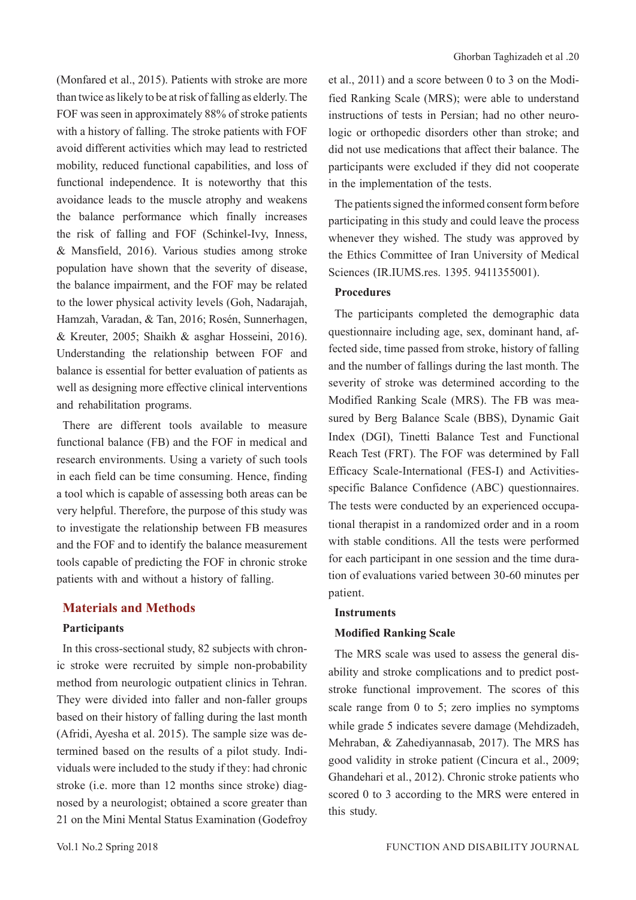(Monfared et al., 2015). Patients with stroke are more than twice as likely to be at risk of falling as elderly. The FOF was seen in approximately 88% of stroke patients with a history of falling. The stroke patients with FOF avoid different activities which may lead to restricted mobility, reduced functional capabilities, and loss of functional independence. It is noteworthy that this avoidance leads to the muscle atrophy and weakens the balance performance which finally increases the risk of falling and FOF (Schinkel-Ivy, Inness, & Mansfield, 2016). Various studies among stroke population have shown that the severity of disease, the balance impairment, and the FOF may be related to the lower physical activity levels (Goh, Nadarajah, Hamzah, Varadan, & Tan, 2016; Rosén, Sunnerhagen, & Kreuter, 2005; Shaikh & asghar Hosseini, 2016). Understanding the relationship between FOF and balance is essential for better evaluation of patients as well as designing more effective clinical interventions and rehabilitation programs.

There are different tools available to measure functional balance (FB) and the FOF in medical and research environments. Using a variety of such tools in each field can be time consuming. Hence, finding a tool which is capable of assessing both areas can be very helpful. Therefore, the purpose of this study was to investigate the relationship between FB measures and the FOF and to identify the balance measurement tools capable of predicting the FOF in chronic stroke patients with and without a history of falling.

## **Materials and Methods**

#### **Participants**

In this cross-sectional study, 82 subjects with chronic stroke were recruited by simple non-probability method from neurologic outpatient clinics in Tehran. They were divided into faller and non-faller groups based on their history of falling during the last month (Afridi, Ayesha et al. 2015). The sample size was determined based on the results of a pilot study. Individuals were included to the study if they: had chronic stroke (i.e. more than 12 months since stroke) diagnosed by a neurologist; obtained a score greater than 21 on the Mini Mental Status Examination (Godefroy

et al., 2011) and a score between 0 to 3 on the Modified Ranking Scale (MRS); were able to understand instructions of tests in Persian; had no other neurologic or orthopedic disorders other than stroke; and did not use medications that affect their balance. The participants were excluded if they did not cooperate in the implementation of the tests.

The patients signed the informed consent form before participating in this study and could leave the process whenever they wished. The study was approved by the Ethics Committee of Iran University of Medical Sciences (IR.IUMS.res. 1395. 9411355001).

#### **Procedures**

The participants completed the demographic data questionnaire including age, sex, dominant hand, affected side, time passed from stroke, history of falling and the number of fallings during the last month. The severity of stroke was determined according to the Modified Ranking Scale (MRS). The FB was measured by Berg Balance Scale (BBS), Dynamic Gait Index (DGI), Tinetti Balance Test and Functional Reach Test (FRT). The FOF was determined by Fall Efficacy Scale-International (FES-I) and Activitiesspecific Balance Confidence (ABC) questionnaires. The tests were conducted by an experienced occupational therapist in a randomized order and in a room with stable conditions. All the tests were performed for each participant in one session and the time duration of evaluations varied between 30-60 minutes per patient.

#### **Instruments**

#### **Modified Ranking Scale**

The MRS scale was used to assess the general disability and stroke complications and to predict poststroke functional improvement. The scores of this scale range from 0 to 5; zero implies no symptoms while grade 5 indicates severe damage (Mehdizadeh, Mehraban, & Zahediyannasab, 2017). The MRS has good validity in stroke patient (Cincura et al., 2009; Ghandehari et al., 2012). Chronic stroke patients who scored 0 to 3 according to the MRS were entered in this study.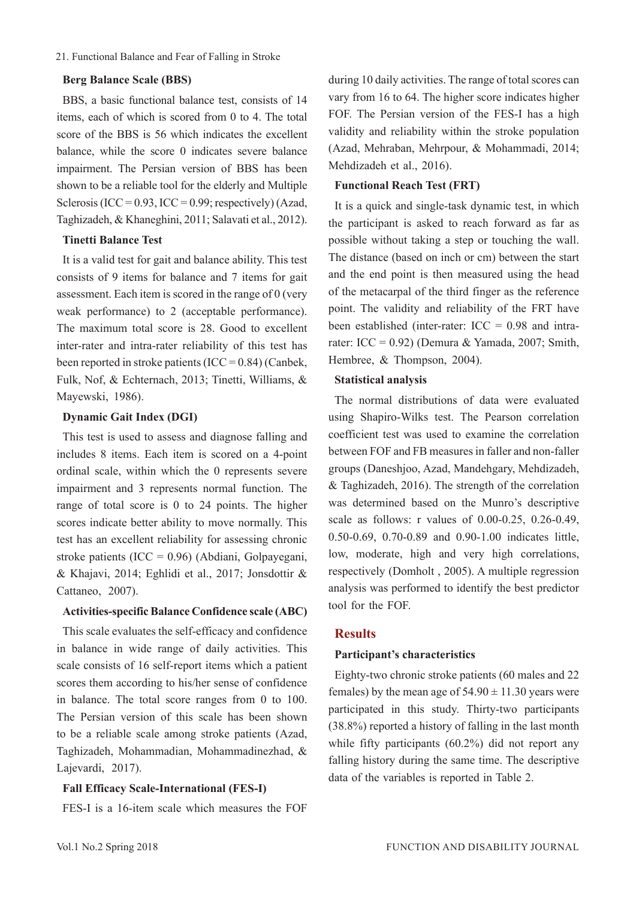#### 21. Functional Balance and Fear of Falling in Stroke

#### **Berg Balance Scale (BBS)**

BBS, a basic functional balance test, consists of 14 items, each of which is scored from 0 to 4. The total score of the BBS is 56 which indicates the excellent balance, while the score 0 indicates severe balance impairment. The Persian version of BBS has been shown to be a reliable tool for the elderly and Multiple Sclerosis (ICC =  $0.93$ , ICC =  $0.99$ ; respectively) (Azad, Taghizadeh, & Khaneghini, 2011; Salavati et al., 2012).

#### **Tinetti Balance Test**

It is a valid test for gait and balance ability. This test consists of 9 items for balance and 7 items for gait assessment. Each item is scored in the range of 0 (very weak performance) to 2 (acceptable performance). The maximum total score is 28. Good to excellent inter-rater and intra-rater reliability of this test has been reported in stroke patients  $(ICC = 0.84)$  (Canbek, Fulk, Nof, & Echternach, 2013; Tinetti, Williams, & Mayewski, 1986).

#### **Dynamic Gait Index (DGI)**

This test is used to assess and diagnose falling and includes 8 items. Each item is scored on a 4-point ordinal scale, within which the 0 represents severe impairment and 3 represents normal function. The range of total score is 0 to 24 points. The higher scores indicate better ability to move normally. This test has an excellent reliability for assessing chronic stroke patients (ICC = 0.96) (Abdiani, Golpayegani, & Khajavi, 2014; Eghlidi et al., 2017; Jonsdottir & Cattaneo, 2007).

#### **Activities-specific Balance Confidence scale (ABC)**

This scale evaluates the self-efficacy and confidence in balance in wide range of daily activities. This scale consists of 16 self-report items which a patient scores them according to his/her sense of confidence in balance. The total score ranges from 0 to 100. The Persian version of this scale has been shown to be a reliable scale among stroke patients (Azad, Taghizadeh, Mohammadian, Mohammadinezhad, & Lajevardi, 2017).

#### **Fall Efficacy Scale-International (FES-I)**

FES-I is a 16-item scale which measures the FOF

during 10 daily activities. The range of total scores can vary from 16 to 64. The higher score indicates higher FOF. The Persian version of the FES-I has a high validity and reliability within the stroke population (Azad, Mehraban, Mehrpour, & Mohammadi, 2014; Mehdizadeh et al., 2016).

#### **Functional Reach Test (FRT)**

It is a quick and single-task dynamic test, in which the participant is asked to reach forward as far as possible without taking a step or touching the wall. The distance (based on inch or cm) between the start and the end point is then measured using the head of the metacarpal of the third finger as the reference point. The validity and reliability of the FRT have been established (inter-rater:  $ICC = 0.98$  and intrarater: ICC =  $0.92$ ) (Demura & Yamada, 2007; Smith, Hembree, & Thompson, 2004).

#### **Statistical analysis**

The normal distributions of data were evaluated using Shapiro-Wilks test. The Pearson correlation coefficient test was used to examine the correlation between FOF and FB measures in faller and non-faller groups (Daneshjoo, Azad, Mandehgary, Mehdizadeh, & Taghizadeh, 2016). The strength of the correlation was determined based on the Munro's descriptive scale as follows: r values of 0.00-0.25, 0.26-0.49, 0.50-0.69, 0.70-0.89 and 0.90-1.00 indicates little, low, moderate, high and very high correlations, respectively (Domholt , 2005). A multiple regression analysis was performed to identify the best predictor tool for the FOF.

#### **Results**

#### **Participant's characteristics**

Eighty-two chronic stroke patients (60 males and 22 females) by the mean age of  $54.90 \pm 11.30$  years were participated in this study. Thirty-two participants (38.8%) reported a history of falling in the last month while fifty participants (60.2%) did not report any falling history during the same time. The descriptive data of the variables is reported in Table 2.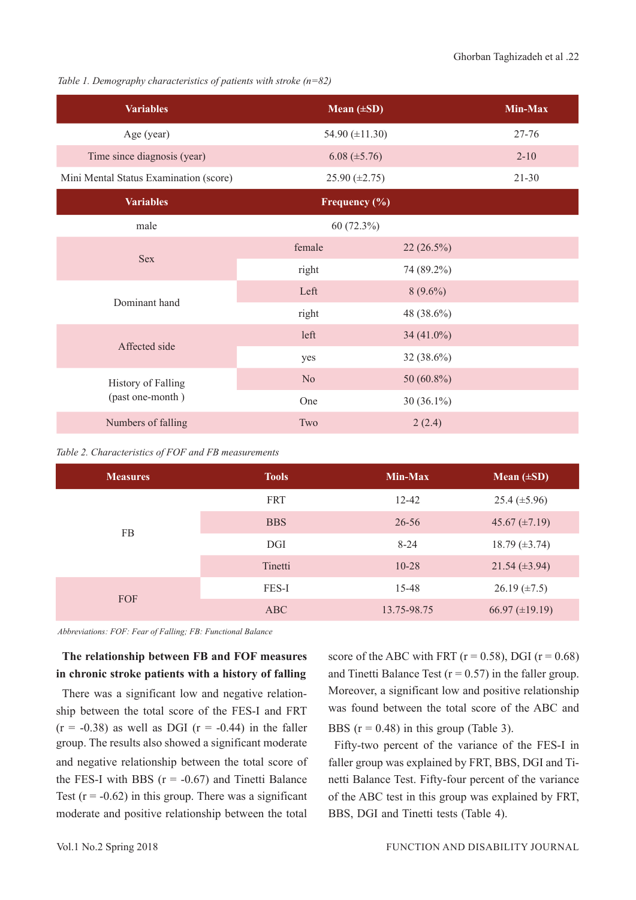*Table 1. Demography characteristics of patients with stroke (n=82)*

| <b>Variables</b>                       |                    | Mean $(\pm SD)$     |           |  |
|----------------------------------------|--------------------|---------------------|-----------|--|
| Age (year)                             |                    | 54.90 $(\pm 11.30)$ |           |  |
| Time since diagnosis (year)            |                    | $6.08 (\pm 5.76)$   |           |  |
| Mini Mental Status Examination (score) | 25.90 $(\pm 2.75)$ |                     | $21 - 30$ |  |
| <b>Variables</b>                       | Frequency (%)      |                     |           |  |
| male                                   | 60(72.3%)          |                     |           |  |
| <b>Sex</b>                             | female             | $22(26.5\%)$        |           |  |
|                                        | right              | 74 (89.2%)          |           |  |
| Dominant hand                          | Left               | $8(9.6\%)$          |           |  |
|                                        | right              | 48 (38.6%)          |           |  |
| Affected side                          | left               | 34 $(41.0\%)$       |           |  |
|                                        | yes                | 32 (38.6%)          |           |  |
| <b>History of Falling</b>              | N <sub>o</sub>     | 50 $(60.8\%)$       |           |  |
| (past one-month)                       | One                | $30(36.1\%)$        |           |  |
| Numbers of falling                     | Two                | 2(2.4)              |           |  |

|  | Table 2. Characteristics of FOF and FB measurements |  |  |  |
|--|-----------------------------------------------------|--|--|--|
|--|-----------------------------------------------------|--|--|--|

| <b>Measures</b> | <b>Tools</b> | Min-Max     | Mean $(\pm SD)$       |
|-----------------|--------------|-------------|-----------------------|
|                 | FRT          | 12-42       | $25.4 \ (\pm 5.96)$   |
| <b>FB</b>       | <b>BBS</b>   | $26 - 56$   | 45.67 $(\pm 7.19)$    |
|                 | DGI          | $8 - 24$    | $18.79 \ (\pm 3.74)$  |
|                 | Tinetti      | $10 - 28$   | $21.54 \ (\pm 3.94)$  |
|                 | FES-I        | 15-48       | $26.19 \ (\pm 7.5)$   |
| FOF             | ABC          | 13.75-98.75 | $66.97 \ (\pm 19.19)$ |

*Abbreviations: FOF: Fear of Falling; FB: Functional Balance*

## **The relationship between FB and FOF measures in chronic stroke patients with a history of falling**

There was a significant low and negative relationship between the total score of the FES-I and FRT  $(r = -0.38)$  as well as DGI  $(r = -0.44)$  in the faller group. The results also showed a significant moderate and negative relationship between the total score of the FES-I with BBS  $(r = -0.67)$  and Tinetti Balance Test  $(r = -0.62)$  in this group. There was a significant moderate and positive relationship between the total

score of the ABC with FRT ( $r = 0.58$ ), DGI ( $r = 0.68$ ) and Tinetti Balance Test ( $r = 0.57$ ) in the faller group. Moreover, a significant low and positive relationship was found between the total score of the ABC and BBS  $(r = 0.48)$  in this group (Table 3).

Fifty-two percent of the variance of the FES-I in faller group was explained by FRT, BBS, DGI and Tinetti Balance Test. Fifty-four percent of the variance of the ABC test in this group was explained by FRT, BBS, DGI and Tinetti tests (Table 4).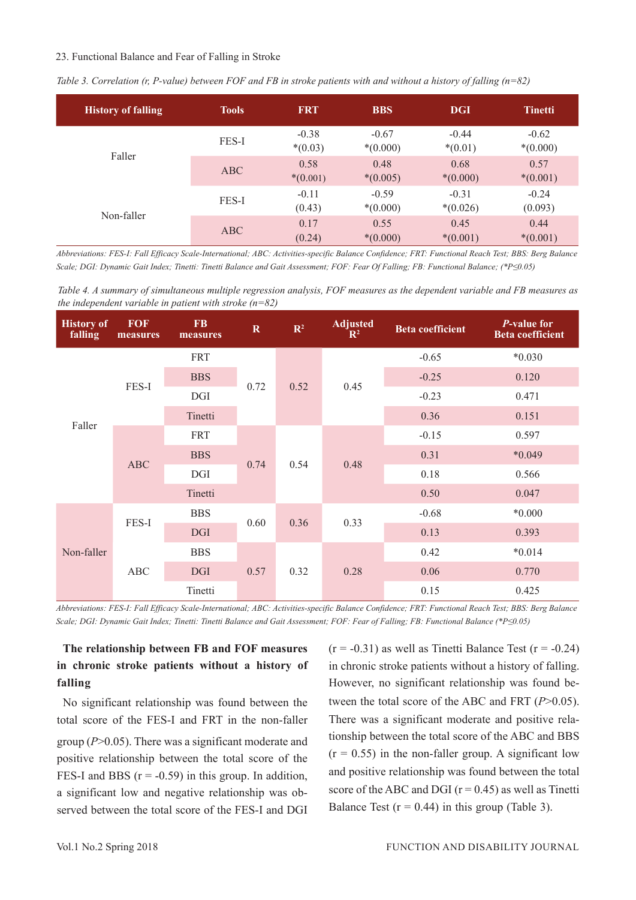#### 23. Functional Balance and Fear of Falling in Stroke

| <b>History of falling</b> | <b>Tools</b> | <b>FRT</b>           | <b>BBS</b>            | <b>DGI</b>            | <b>Tinetti</b>        |
|---------------------------|--------------|----------------------|-----------------------|-----------------------|-----------------------|
|                           | FES-I        | $-0.38$<br>$*(0.03)$ | $-0.67$<br>$*(0.000)$ | $-0.44$<br>$*(0.01)$  | $-0.62$<br>$*(0.000)$ |
| Faller                    | ABC          | 0.58<br>$*(0.001)$   | 0.48<br>$*(0.005)$    | 0.68<br>$*(0.000)$    | 0.57<br>$*(0.001)$    |
|                           | FES-I        | $-0.11$<br>(0.43)    | $-0.59$<br>$*(0.000)$ | $-0.31$<br>$*(0.026)$ | $-0.24$<br>(0.093)    |
| Non-faller                | ABC          | 0.17<br>(0.24)       | 0.55<br>$*(0.000)$    | 0.45<br>$*(0.001)$    | 0.44<br>$*(0.001)$    |

*Table 3. Correlation (r, P-value) between FOF and FB in stroke patients with and without a history of falling (n=82)* 

*Abbreviations: FES-I: Fall Efficacy Scale-International; ABC: Activities-specific Balance Confidence; FRT: Functional Reach Test; BBS: Berg Balance Scale; DGI: Dynamic Gait Index; Tinetti: Tinetti Balance and Gait Assessment; FOF: Fear Of Falling; FB: Functional Balance; (\*P≤0.05)*

*Table 4. A summary of simultaneous multiple regression analysis, FOF measures as the dependent variable and FB measures as the independent variable in patient with stroke (n=82)*

| <b>History of</b><br>falling | <b>FOF</b><br>measures | <b>FB</b><br>measures | $\mathbf R$ | $\mathbb{R}^2$ | <b>Adjusted</b><br>$\mathbb{R}^2$ | <b>Beta coefficient</b> | <i>P</i> -value for<br><b>Beta</b> coefficient |
|------------------------------|------------------------|-----------------------|-------------|----------------|-----------------------------------|-------------------------|------------------------------------------------|
| Faller                       |                        | <b>FRT</b>            |             | 0.52           | 0.45                              | $-0.65$                 | $*0.030$                                       |
|                              | FES-I                  | <b>BBS</b>            | 0.72        |                |                                   | $-0.25$                 | 0.120                                          |
|                              |                        | <b>DGI</b>            |             |                |                                   | $-0.23$                 | 0.471                                          |
|                              |                        | Tinetti               |             |                |                                   | 0.36                    | 0.151                                          |
|                              |                        | <b>FRT</b>            |             |                | 0.48                              | $-0.15$                 | 0.597                                          |
|                              | <b>ABC</b>             | <b>BBS</b>            | 0.74        |                |                                   | 0.31                    | $*0.049$                                       |
|                              |                        | <b>DGI</b>            |             | 0.54           |                                   | 0.18                    | 0.566                                          |
|                              |                        | Tinetti               |             |                |                                   | 0.50                    | 0.047                                          |
| Non-faller                   | FES-I                  | <b>BBS</b>            | 0.60        | 0.36           | 0.33                              | $-0.68$                 | $*0.000$                                       |
|                              |                        | <b>DGI</b>            |             |                |                                   | 0.13                    | 0.393                                          |
|                              |                        | <b>BBS</b>            |             |                | 0.28                              | 0.42                    | $*0.014$                                       |
|                              | ABC                    | <b>DGI</b>            | 0.57        | 0.32           |                                   | 0.06                    | 0.770                                          |
|                              |                        | Tinetti               |             |                |                                   | 0.15                    | 0.425                                          |

*Abbreviations: FES-I: Fall Efficacy Scale-International; ABC: Activities-specific Balance Confidence; FRT: Functional Reach Test; BBS: Berg Balance Scale; DGI: Dynamic Gait Index; Tinetti: Tinetti Balance and Gait Assessment; FOF: Fear of Falling; FB: Functional Balance (\*P≤0.05)*

## **The relationship between FB and FOF measures in chronic stroke patients without a history of falling**

No significant relationship was found between the total score of the FES-I and FRT in the non-faller group (*P*˃0.05). There was a significant moderate and positive relationship between the total score of the FES-I and BBS  $(r = -0.59)$  in this group. In addition, a significant low and negative relationship was observed between the total score of the FES-I and DGI  $(r = -0.31)$  as well as Tinetti Balance Test  $(r = -0.24)$ in chronic stroke patients without a history of falling. However, no significant relationship was found between the total score of the ABC and FRT (*P*>0.05). There was a significant moderate and positive relationship between the total score of the ABC and BBS  $(r = 0.55)$  in the non-faller group. A significant low and positive relationship was found between the total score of the ABC and DGI  $(r = 0.45)$  as well as Tinetti Balance Test  $(r = 0.44)$  in this group (Table 3).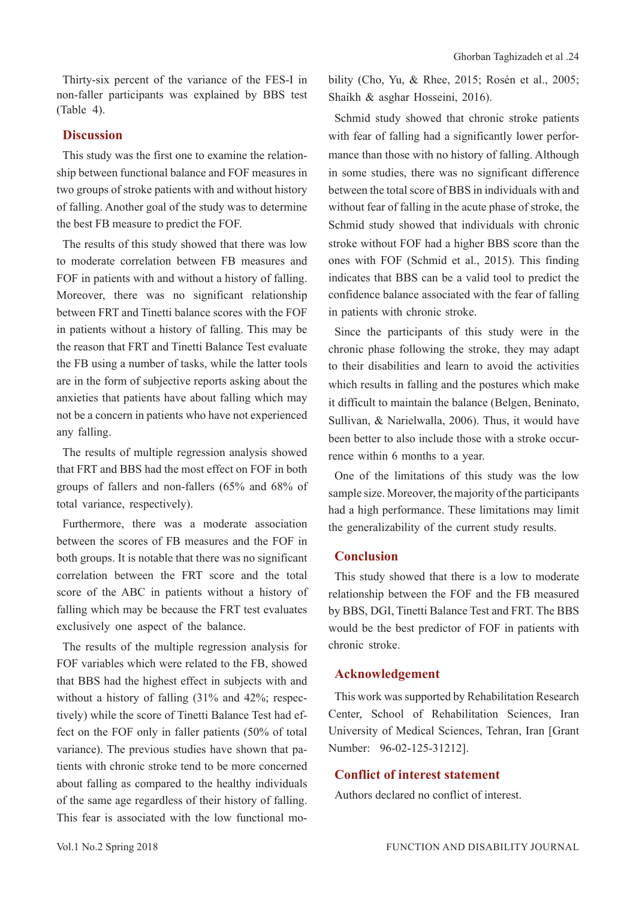Thirty-six percent of the variance of the FES-I in non-faller participants was explained by BBS test (Table 4).

## **Discussion**

This study was the first one to examine the relationship between functional balance and FOF measures in two groups of stroke patients with and without history of falling. Another goal of the study was to determine the best FB measure to predict the FOF.

The results of this study showed that there was low to moderate correlation between FB measures and FOF in patients with and without a history of falling. Moreover, there was no significant relationship between FRT and Tinetti balance scores with the FOF in patients without a history of falling. This may be the reason that FRT and Tinetti Balance Test evaluate the FB using a number of tasks, while the latter tools are in the form of subjective reports asking about the anxieties that patients have about falling which may not be a concern in patients who have not experienced any falling.

The results of multiple regression analysis showed that FRT and BBS had the most effect on FOF in both groups of fallers and non-fallers (65% and 68% of total variance, respectively).

Furthermore, there was a moderate association between the scores of FB measures and the FOF in both groups. It is notable that there was no significant correlation between the FRT score and the total score of the ABC in patients without a history of falling which may be because the FRT test evaluates exclusively one aspect of the balance.

The results of the multiple regression analysis for FOF variables which were related to the FB, showed that BBS had the highest effect in subjects with and without a history of falling (31% and 42%; respectively) while the score of Tinetti Balance Test had effect on the FOF only in faller patients (50% of total variance). The previous studies have shown that patients with chronic stroke tend to be more concerned about falling as compared to the healthy individuals of the same age regardless of their history of falling. This fear is associated with the low functional mobility (Cho, Yu, & Rhee, 2015; Rosén et al., 2005; Shaikh & asghar Hosseini, 2016).

Schmid study showed that chronic stroke patients with fear of falling had a significantly lower performance than those with no history of falling. Although in some studies, there was no significant difference between the total score of BBS in individuals with and without fear of falling in the acute phase of stroke, the Schmid study showed that individuals with chronic stroke without FOF had a higher BBS score than the ones with FOF (Schmid et al., 2015). This finding indicates that BBS can be a valid tool to predict the confidence balance associated with the fear of falling in patients with chronic stroke.

Since the participants of this study were in the chronic phase following the stroke, they may adapt to their disabilities and learn to avoid the activities which results in falling and the postures which make it difficult to maintain the balance (Belgen, Beninato, Sullivan, & Narielwalla, 2006). Thus, it would have been better to also include those with a stroke occurrence within 6 months to a year.

One of the limitations of this study was the low sample size. Moreover, the majority of the participants had a high performance. These limitations may limit the generalizability of the current study results.

#### **Conclusion**

This study showed that there is a low to moderate relationship between the FOF and the FB measured by BBS, DGI, Tinetti Balance Test and FRT. The BBS would be the best predictor of FOF in patients with chronic stroke.

### **Acknowledgement**

This work was supported by Rehabilitation Research Center, School of Rehabilitation Sciences, Iran University of Medical Sciences, Tehran, Iran [Grant Number: 96-02-125-31212].

#### **Conflict of interest statement**

Authors declared no conflict of interest.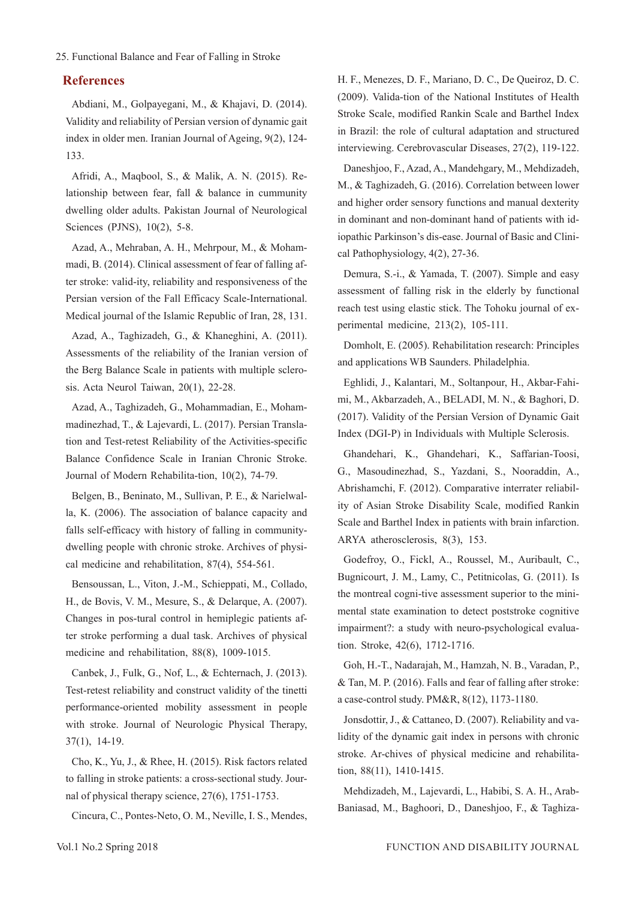25. Functional Balance and Fear of Falling in Stroke

#### **References**

Abdiani, M., Golpayegani, M., & Khajavi, D. (2014). Validity and reliability of Persian version of dynamic gait index in older men. Iranian Journal of Ageing, 9(2), 124- 133.

Afridi, A., Maqbool, S., & Malik, A. N. (2015). Relationship between fear, fall & balance in cummunity dwelling older adults. Pakistan Journal of Neurological Sciences (PJNS), 10(2), 5-8.

Azad, A., Mehraban, A. H., Mehrpour, M., & Mohammadi, B. (2014). Clinical assessment of fear of falling after stroke: valid-ity, reliability and responsiveness of the Persian version of the Fall Efficacy Scale-International. Medical journal of the Islamic Republic of Iran, 28, 131.

Azad, A., Taghizadeh, G., & Khaneghini, A. (2011). Assessments of the reliability of the Iranian version of the Berg Balance Scale in patients with multiple sclerosis. Acta Neurol Taiwan, 20(1), 22-28.

Azad, A., Taghizadeh, G., Mohammadian, E., Mohammadinezhad, T., & Lajevardi, L. (2017). Persian Translation and Test-retest Reliability of the Activities-specific Balance Confidence Scale in Iranian Chronic Stroke. Journal of Modern Rehabilita-tion, 10(2), 74-79.

Belgen, B., Beninato, M., Sullivan, P. E., & Narielwalla, K. (2006). The association of balance capacity and falls self-efficacy with history of falling in communitydwelling people with chronic stroke. Archives of physical medicine and rehabilitation, 87(4), 554-561.

Bensoussan, L., Viton, J.-M., Schieppati, M., Collado, H., de Bovis, V. M., Mesure, S., & Delarque, A. (2007). Changes in pos-tural control in hemiplegic patients after stroke performing a dual task. Archives of physical medicine and rehabilitation, 88(8), 1009-1015.

Canbek, J., Fulk, G., Nof, L., & Echternach, J. (2013). Test-retest reliability and construct validity of the tinetti performance-oriented mobility assessment in people with stroke. Journal of Neurologic Physical Therapy, 37(1), 14-19.

Cho, K., Yu, J., & Rhee, H. (2015). Risk factors related to falling in stroke patients: a cross-sectional study. Journal of physical therapy science, 27(6), 1751-1753.

Cincura, C., Pontes-Neto, O. M., Neville, I. S., Mendes,

H. F., Menezes, D. F., Mariano, D. C., De Queiroz, D. C. (2009). Valida-tion of the National Institutes of Health Stroke Scale, modified Rankin Scale and Barthel Index in Brazil: the role of cultural adaptation and structured interviewing. Cerebrovascular Diseases, 27(2), 119-122.

Daneshjoo, F., Azad, A., Mandehgary, M., Mehdizadeh, M., & Taghizadeh, G. (2016). Correlation between lower and higher order sensory functions and manual dexterity in dominant and non-dominant hand of patients with idiopathic Parkinson's dis-ease. Journal of Basic and Clinical Pathophysiology, 4(2), 27-36.

Demura, S.-i., & Yamada, T. (2007). Simple and easy assessment of falling risk in the elderly by functional reach test using elastic stick. The Tohoku journal of experimental medicine, 213(2), 105-111.

Domholt, E. (2005). Rehabilitation research: Principles and applications WB Saunders. Philadelphia.

Eghlidi, J., Kalantari, M., Soltanpour, H., Akbar-Fahimi, M., Akbarzadeh, A., BELADI, M. N., & Baghori, D. (2017). Validity of the Persian Version of Dynamic Gait Index (DGI-P) in Individuals with Multiple Sclerosis.

Ghandehari, K., Ghandehari, K., Saffarian-Toosi, G., Masoudinezhad, S., Yazdani, S., Nooraddin, A., Abrishamchi, F. (2012). Comparative interrater reliability of Asian Stroke Disability Scale, modified Rankin Scale and Barthel Index in patients with brain infarction. ARYA atherosclerosis, 8(3), 153.

Godefroy, O., Fickl, A., Roussel, M., Auribault, C., Bugnicourt, J. M., Lamy, C., Petitnicolas, G. (2011). Is the montreal cogni-tive assessment superior to the minimental state examination to detect poststroke cognitive impairment?: a study with neuro-psychological evaluation. Stroke, 42(6), 1712-1716.

Goh, H.-T., Nadarajah, M., Hamzah, N. B., Varadan, P., & Tan, M. P. (2016). Falls and fear of falling after stroke: a case-control study. PM&R, 8(12), 1173-1180.

Jonsdottir, J., & Cattaneo, D. (2007). Reliability and validity of the dynamic gait index in persons with chronic stroke. Ar-chives of physical medicine and rehabilitation, 88(11), 1410-1415.

Mehdizadeh, M., Lajevardi, L., Habibi, S. A. H., Arab-Baniasad, M., Baghoori, D., Daneshjoo, F., & Taghiza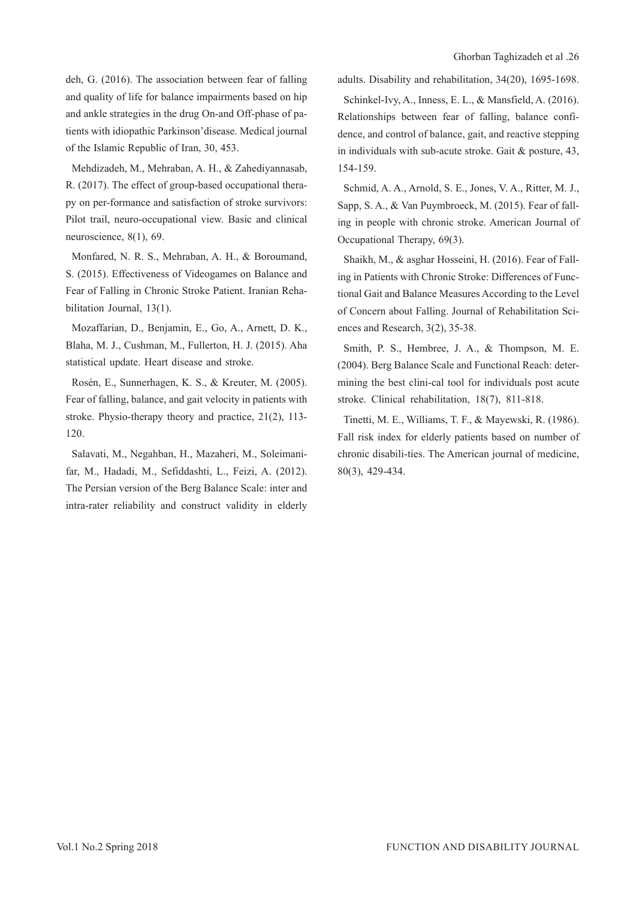deh, G. (2016). The association between fear of falling and quality of life for balance impairments based on hip and ankle strategies in the drug On-and Off-phase of patients with idiopathic Parkinson'disease. Medical journal of the Islamic Republic of Iran, 30, 453.

Mehdizadeh, M., Mehraban, A. H., & Zahediyannasab, R. (2017). The effect of group-based occupational therapy on per-formance and satisfaction of stroke survivors: Pilot trail, neuro-occupational view. Basic and clinical neuroscience, 8(1), 69.

Monfared, N. R. S., Mehraban, A. H., & Boroumand, S. (2015). Effectiveness of Videogames on Balance and Fear of Falling in Chronic Stroke Patient. Iranian Rehabilitation Journal, 13(1).

Mozaffarian, D., Benjamin, E., Go, A., Arnett, D. K., Blaha, M. J., Cushman, M., Fullerton, H. J. (2015). Aha statistical update. Heart disease and stroke.

Rosén, E., Sunnerhagen, K. S., & Kreuter, M. (2005). Fear of falling, balance, and gait velocity in patients with stroke. Physio-therapy theory and practice, 21(2), 113- 120.

Salavati, M., Negahban, H., Mazaheri, M., Soleimanifar, M., Hadadi, M., Sefiddashti, L., Feizi, A. (2012). The Persian version of the Berg Balance Scale: inter and intra-rater reliability and construct validity in elderly

adults. Disability and rehabilitation, 34(20), 1695-1698.

Schinkel-Ivy, A., Inness, E. L., & Mansfield, A. (2016). Relationships between fear of falling, balance confidence, and control of balance, gait, and reactive stepping in individuals with sub-acute stroke. Gait & posture, 43, 154-159.

Schmid, A. A., Arnold, S. E., Jones, V. A., Ritter, M. J., Sapp, S. A., & Van Puymbroeck, M. (2015). Fear of falling in people with chronic stroke. American Journal of Occupational Therapy, 69(3).

Shaikh, M., & asghar Hosseini, H. (2016). Fear of Falling in Patients with Chronic Stroke: Differences of Functional Gait and Balance Measures According to the Level of Concern about Falling. Journal of Rehabilitation Sciences and Research, 3(2), 35-38.

Smith, P. S., Hembree, J. A., & Thompson, M. E. (2004). Berg Balance Scale and Functional Reach: determining the best clini-cal tool for individuals post acute stroke. Clinical rehabilitation, 18(7), 811-818.

Tinetti, M. E., Williams, T. F., & Mayewski, R. (1986). Fall risk index for elderly patients based on number of chronic disabili-ties. The American journal of medicine, 80(3), 429-434.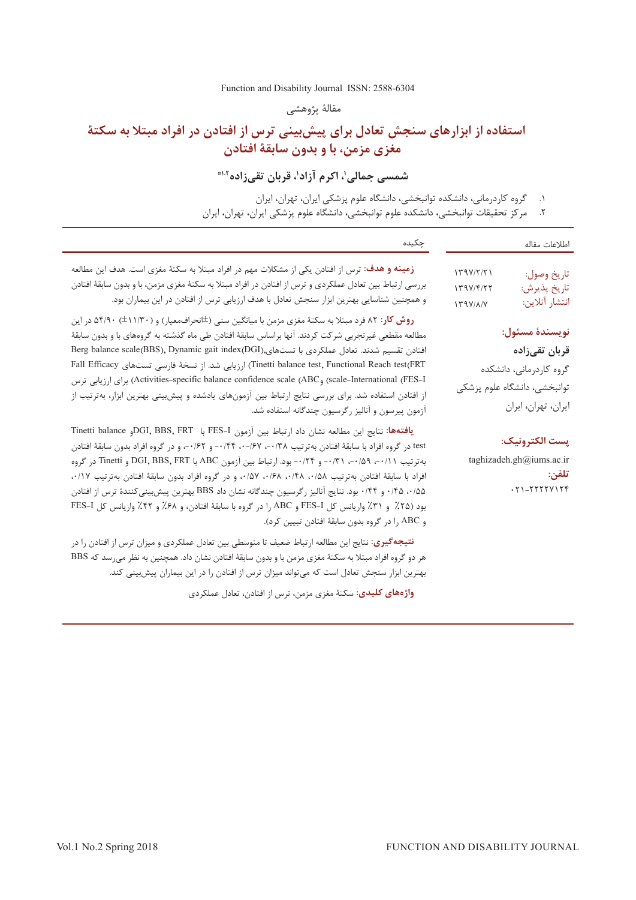#### [Function and Disability Journal ISSN: 2588-6304](http://fdj.iums.ac.ir/index.php?&slct_pg_id=10&sid=1&slc_lang=en)

مقالۀ پژوهشی

# **استفاده از ابزارهای سنجش تعادل برای پیش بینی ترس از افتادن در افراد مبتال به سکتۀ مغزی مزمن، با و بدون سابقۀ افتادن**

شمسی جمالی'، اکرم آزاد'، قربان تقیزاده<sup>۱،۲</sup>

۱. 1گروه کاردرمانی، دانشکده توانبخشی، دانشگاه علوم پزشکی ايران، تهران، ايران ۲. مرکز تحقیقات توانبخشی، دانشکده علوم توانبخشی، دانشگاه علوم پزشکی ايران، تهران، ايران

| چکیده                                                                                                                                                                                                                                                                                                                                                                                                                                                                                                                                                                                                                                                                               | اطلاعات مقاله                                                                                                     |
|-------------------------------------------------------------------------------------------------------------------------------------------------------------------------------------------------------------------------------------------------------------------------------------------------------------------------------------------------------------------------------------------------------------------------------------------------------------------------------------------------------------------------------------------------------------------------------------------------------------------------------------------------------------------------------------|-------------------------------------------------------------------------------------------------------------------|
| <b>زمینه و هدف</b> : ترس از افتادن یکی از مشکلات مهم در افراد مبتلا به سکتهٔ مغزی است. هدف این مطالعه<br>بررسی ارتباط بین تعادل عملکردی و ترس از افتادن در افراد مبتلا به سکتهٔ مغزی مزمن، با و بدون سابقهٔ افتادن<br>و همچنین شناسایی بهترین ابزار سنجش تعادل با هدف ارزیابی ترس از افتادن در این بیماران بود.                                                                                                                                                                                                                                                                                                                                                                     | 179Y/Y/Y1<br>تاريخ وصول:<br>تاريخ پذيرش:<br>149V/F/55<br>انتشار آنلاين:<br>$179Y/\lambda/Y$                       |
| <b>روش کار</b> : ۸۲ فرد مبتلا به سکتهٔ مغزی مزمن با میانگین سنی (±انحرافمعیار) و (۱۱/۳۰±) ۵۴/۹۰ در این<br>مطالعه مقطعی غیرتجربی شرکت کردند. آنها براساس سابقهٔ افتادن طی ماه گذشته به گروههای با و بدون سابقهٔ<br>افتادن تقسيم شدند. تعادل عملكردي با تستهاي,(Berg balance scale(BBS), Dynamic gait index(DGI<br>Tinetti balance test, Functional Reach test(FRT) ارزيابي شد. از نسخهٔ فارسي تستهاى Fall Efficacy<br>scale-International (FES-I) وActivities-specific balance confidence scale (ABC) براى ارزيابي ترس<br>از افتادن استفاده شد. برای بررسی نتایج ارتباط بین آزمونهای یادشده و پیش بینی بهترین ابزار، بهترتیب از<br>آزمون پیرسون و آنالیز رگرسیون چندگانه استفاده شد. | نويسندة مسئول:<br>قربان تقىزادە<br>گروه کاردرمانی، دانشکده<br>توانبخشی، دانشگاه علوم پزشکی<br>ايران، تهران، ايران |
| <b>يافتهها:</b> نتايج اين مطالعه نشان داد ارتباط بين آزمون FES-I با DGI, BBS, FRTوPollance<br>test در گروه افراد با سابقهٔ افتادن بهترتیب ۰/۳۸– ۰/۶۷–۰/۴۴ - و ۰/۶۲–، و در گروه افراد بدون سابقهٔ افتادن<br>بهترتيب ٢١/٠-، ٥٩/٠-، ٢٦/٠- و ٢٢/٠- بود. ارتباط بين آزمون DGI, BBS, FRT و Tinetti در گروه<br>افراد با سابقهٔ افتادن بهترتیب ۰/۵۸، ۰/۴۸، ۰/۶۸، ۰/۵۷، و در گروه افراد بدون سابقهٔ افتادن بهترتیب ۰/۱۷،<br>۰/۵۵ ه/۰/۴ و ۰/۴۴ بود. نتایج آنالیز رگرسیون چندگانه نشان داد BBS بهترین پیشبینیکنندهٔ ترس از افتادن<br>بود (۲۵٪ و ۳۱٪ واریانس کل FES-I و ABC را در گروه با سابقهٔ افتادن، و ۶۸٪ و ۴۲٪ واریانس کل FES-I<br>و ABC را در گروه بدون سابقهٔ افتادن تبیین کرد).        | پست الكترونيك:<br>taghizadeh.gh@iums.ac.ir<br>تلفن:<br>$.71 - 777777177$                                          |
| <b>نتیجهگیری:</b> نتایج این مطالعه ارتباط ضعیف تا متوسطی بین تعادل عملکردی و میزان ترس از افتادن را در<br>هر دو گروه افراد مبتلا به سکتهٔ مغزی مزمن با و بدون سابقهٔ افتادن نشان داد. همچنین به نظر میرسد که BBS<br>بهترین ابزار سنجش تعادل است که میتواند میزان ترس از افتادن را در این بیماران پیشبینی کند.                                                                                                                                                                                                                                                                                                                                                                       |                                                                                                                   |

<mark>واژههای کلیدی:</mark> سکتۀ مغزی مزمن، ترس از افتادن، تعادل عملکردی